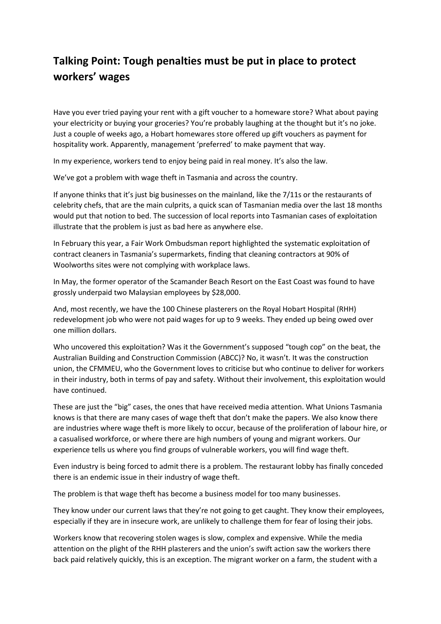## **Talking Point: Tough penalties must be put in place to protect workers' wages**

Have you ever tried paying your rent with a gift voucher to a homeware store? What about paying your electricity or buying your groceries? You're probably laughing at the thought but it's no joke. Just a couple of weeks ago, a Hobart homewares store offered up gift vouchers as payment for hospitality work. Apparently, management 'preferred' to make payment that way.

In my experience, workers tend to enjoy being paid in real money. It's also the law.

We've got a problem with wage theft in Tasmania and across the country.

If anyone thinks that it's just big businesses on the mainland, like the 7/11s or the restaurants of celebrity chefs, that are the main culprits, a quick scan of Tasmanian media over the last 18 months would put that notion to bed. The succession of local reports into Tasmanian cases of exploitation illustrate that the problem is just as bad here as anywhere else.

In February this year, a Fair Work Ombudsman report highlighted the systematic exploitation of contract cleaners in Tasmania's supermarkets, finding that cleaning contractors at 90% of Woolworths sites were not complying with workplace laws.

In May, the former operator of the Scamander Beach Resort on the East Coast was found to have grossly underpaid two Malaysian employees by \$28,000.

And, most recently, we have the 100 Chinese plasterers on the Royal Hobart Hospital (RHH) redevelopment job who were not paid wages for up to 9 weeks. They ended up being owed over one million dollars.

Who uncovered this exploitation? Was it the Government's supposed "tough cop" on the beat, the Australian Building and Construction Commission (ABCC)? No, it wasn't. It was the construction union, the CFMMEU, who the Government loves to criticise but who continue to deliver for workers in their industry, both in terms of pay and safety. Without their involvement, this exploitation would have continued.

These are just the "big" cases, the ones that have received media attention. What Unions Tasmania knows is that there are many cases of wage theft that don't make the papers. We also know there are industries where wage theft is more likely to occur, because of the proliferation of labour hire, or a casualised workforce, or where there are high numbers of young and migrant workers. Our experience tells us where you find groups of vulnerable workers, you will find wage theft.

Even industry is being forced to admit there is a problem. The restaurant lobby has finally conceded there is an endemic issue in their industry of wage theft.

The problem is that wage theft has become a business model for too many businesses.

They know under our current laws that they're not going to get caught. They know their employees, especially if they are in insecure work, are unlikely to challenge them for fear of losing their jobs.

Workers know that recovering stolen wages is slow, complex and expensive. While the media attention on the plight of the RHH plasterers and the union's swift action saw the workers there back paid relatively quickly, this is an exception. The migrant worker on a farm, the student with a